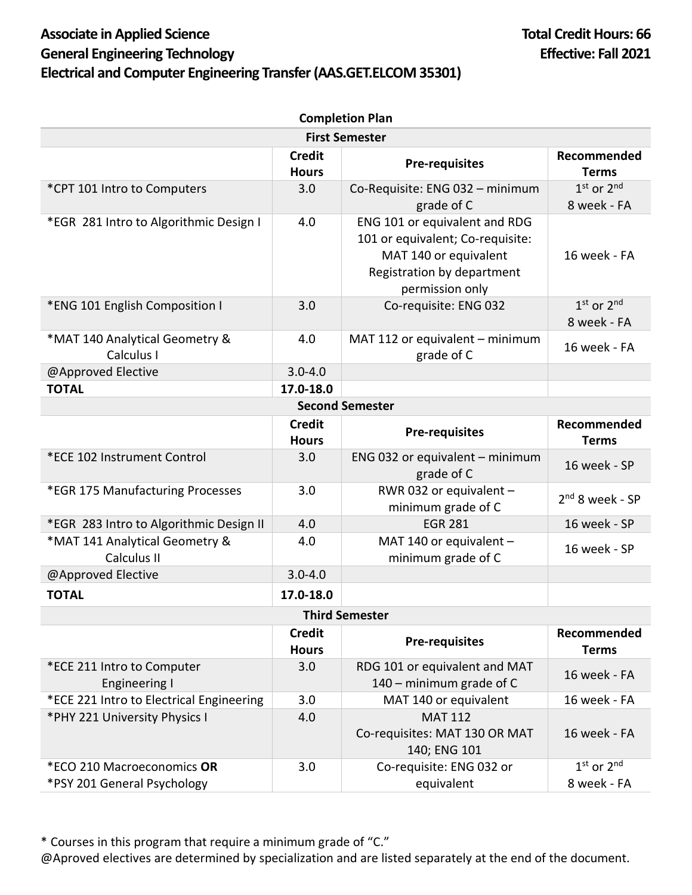## Associate in Applied Science **Total Credit Hours: 66 General Engineering Technology Effective: Fall 2021 Electrical and Computer Engineering Transfer (AAS.GET.ELCOM 35301)**

| <b>Completion Plan</b>                                    |                               |                                                                                                                                             |                               |  |  |
|-----------------------------------------------------------|-------------------------------|---------------------------------------------------------------------------------------------------------------------------------------------|-------------------------------|--|--|
| <b>First Semester</b>                                     |                               |                                                                                                                                             |                               |  |  |
|                                                           | <b>Credit</b><br><b>Hours</b> | <b>Pre-requisites</b>                                                                                                                       | Recommended<br><b>Terms</b>   |  |  |
| *CPT 101 Intro to Computers                               | 3.0                           | Co-Requisite: ENG 032 - minimum<br>grade of C                                                                                               | $1st$ or $2nd$<br>8 week - FA |  |  |
| *EGR 281 Intro to Algorithmic Design I                    | 4.0                           | ENG 101 or equivalent and RDG<br>101 or equivalent; Co-requisite:<br>MAT 140 or equivalent<br>Registration by department<br>permission only | 16 week - FA                  |  |  |
| *ENG 101 English Composition I                            | 3.0                           | Co-requisite: ENG 032                                                                                                                       | $1st$ or $2nd$<br>8 week - FA |  |  |
| *MAT 140 Analytical Geometry &<br>Calculus I              | 4.0                           | MAT 112 or equivalent - minimum<br>grade of C                                                                                               | 16 week - FA                  |  |  |
| @Approved Elective                                        | $3.0 - 4.0$                   |                                                                                                                                             |                               |  |  |
| <b>TOTAL</b>                                              | 17.0-18.0                     |                                                                                                                                             |                               |  |  |
| <b>Second Semester</b>                                    |                               |                                                                                                                                             |                               |  |  |
|                                                           | <b>Credit</b><br><b>Hours</b> | <b>Pre-requisites</b>                                                                                                                       | Recommended<br><b>Terms</b>   |  |  |
| *ECE 102 Instrument Control                               | 3.0                           | ENG 032 or equivalent $-$ minimum<br>grade of C                                                                                             | 16 week - SP                  |  |  |
| *EGR 175 Manufacturing Processes                          | 3.0                           | RWR 032 or equivalent -<br>minimum grade of C                                                                                               | $2nd$ 8 week - SP             |  |  |
| *EGR 283 Intro to Algorithmic Design II                   | 4.0                           | <b>EGR 281</b>                                                                                                                              | 16 week - SP                  |  |  |
| *MAT 141 Analytical Geometry &<br>Calculus II             | 4.0                           | MAT 140 or equivalent -<br>minimum grade of C                                                                                               | 16 week - SP                  |  |  |
| @Approved Elective                                        | $3.0 - 4.0$                   |                                                                                                                                             |                               |  |  |
| <b>TOTAL</b>                                              | 17.0-18.0                     |                                                                                                                                             |                               |  |  |
| <b>Third Semester</b>                                     |                               |                                                                                                                                             |                               |  |  |
|                                                           | <b>Credit</b><br><b>Hours</b> | <b>Pre-requisites</b>                                                                                                                       | Recommended<br><b>Terms</b>   |  |  |
| *ECE 211 Intro to Computer<br><b>Engineering I</b>        | 3.0                           | RDG 101 or equivalent and MAT<br>140 - minimum grade of C                                                                                   | 16 week - FA                  |  |  |
| *ECE 221 Intro to Electrical Engineering                  | 3.0                           | MAT 140 or equivalent                                                                                                                       | 16 week - FA                  |  |  |
| *PHY 221 University Physics I                             | 4.0                           | <b>MAT 112</b><br>Co-requisites: MAT 130 OR MAT<br>140; ENG 101                                                                             | 16 week - FA                  |  |  |
| *ECO 210 Macroeconomics OR<br>*PSY 201 General Psychology | 3.0                           | Co-requisite: ENG 032 or<br>equivalent                                                                                                      | $1st$ or $2nd$<br>8 week - FA |  |  |

\* Courses in this program that require a minimum grade of "C."

@Aproved electives are determined by specialization and are listed separately at the end of the document.